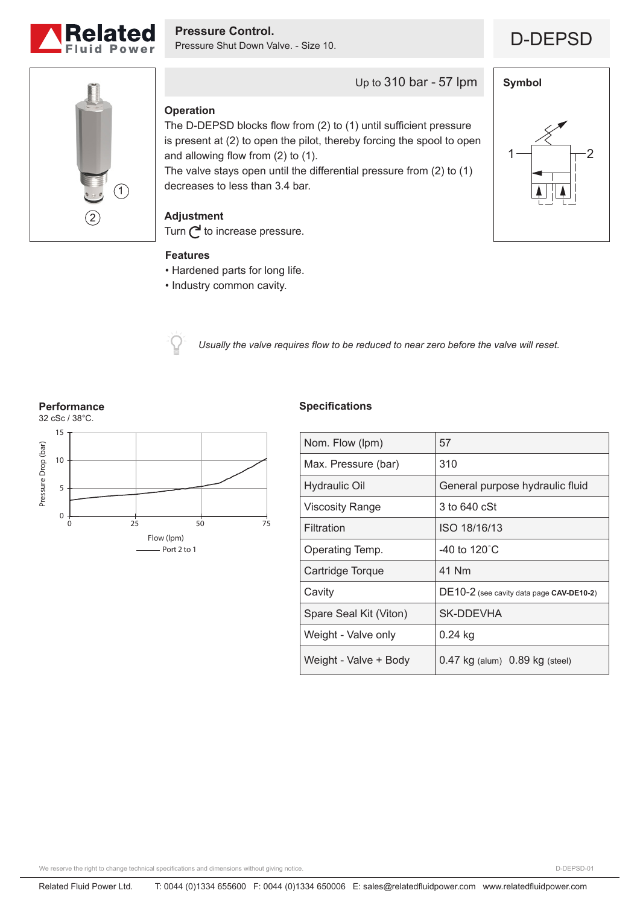



**Symbol**

 $1 \rightarrow \qquad \qquad \uparrow \qquad$ 



# Up to 310 bar - 57 lpm

## **Operation**

The D-DEPSD blocks flow from (2) to (1) until sufficient pressure is present at (2) to open the pilot, thereby forcing the spool to open and allowing flow from (2) to (1).

The valve stays open until the differential pressure from (2) to (1) decreases to less than 3.4 bar.

## **Adjustment**

Turn  $\bigcap$  to increase pressure.

### **Features**

- Hardened parts for long life.
- Industry common cavity.



*Usually the valve requires flow to be reduced to near zero before the valve will reset.*

#### **Performance**



## **Specifications**

| Nom. Flow (lpm)        | 57                                       |
|------------------------|------------------------------------------|
| Max. Pressure (bar)    | 310                                      |
| <b>Hydraulic Oil</b>   | General purpose hydraulic fluid          |
| Viscosity Range        | 3 to 640 cSt                             |
| Filtration             | ISO 18/16/13                             |
| Operating Temp.        | -40 to $120^{\circ}$ C                   |
| Cartridge Torque       | 41 Nm                                    |
| Cavity                 | DE10-2 (see cavity data page CAV-DE10-2) |
| Spare Seal Kit (Viton) | SK-DDEVHA                                |
| Weight - Valve only    | 0.24 kg                                  |
| Weight - Valve + Body  | $0.47$ kg (alum) $0.89$ kg (steel)       |